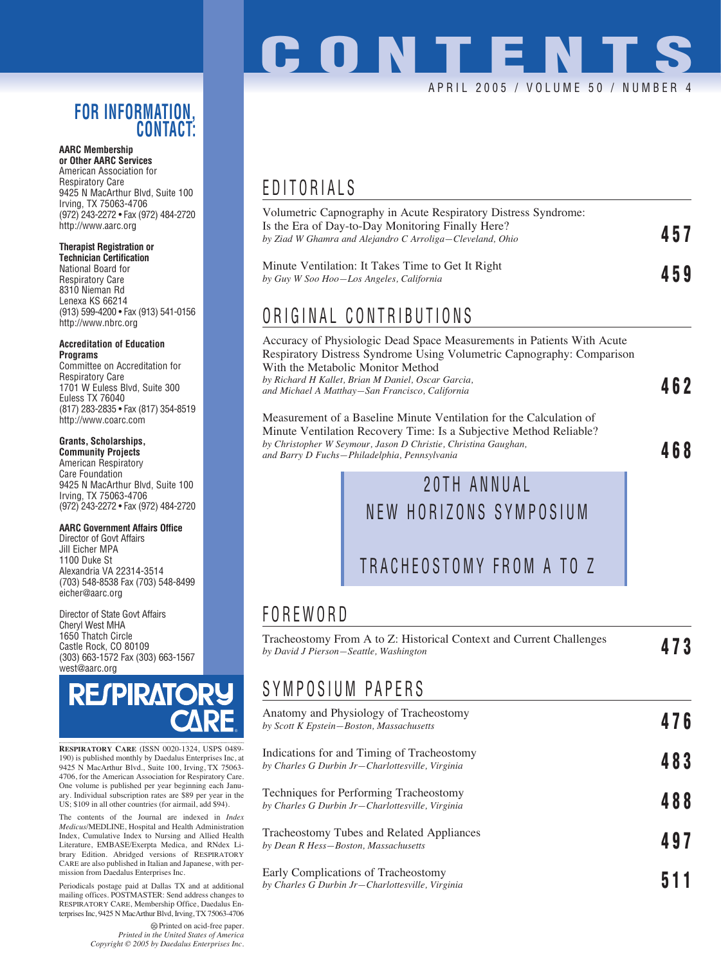### **FOR INFORMATION, CONTACT:**

#### **AARC Membership or Other AARC Services**

American Association for Respiratory Care 9425 N MacArthur Blvd, Suite 100 Irving, TX 75063-4706 (972) 243-2272 • Fax (972) 484-2720 http://www.aarc.org

### **Therapist Registration or**

**Technician Certification** National Board for Respiratory Care 8310 Nieman Rd Lenexa KS 66214 (913) 599-4200 • Fax (913) 541-0156 http://www.nbrc.org

#### **Accreditation of Education Programs**

Committee on Accreditation for Respiratory Care 1701 W Euless Blvd, Suite 300 Euless TX 76040 (817) 283-2835 • Fax (817) 354-8519 http://www.coarc.com

### **Grants, Scholarships,**

**Community Projects** American Respiratory Care Foundation 9425 N MacArthur Blvd, Suite 100 Irving, TX 75063-4706 (972) 243-2272 • Fax (972) 484-2720

### **AARC Government Affairs Office**

Director of Govt Affairs Jill Eicher MPA 1100 Duke St Alexandria VA 22314-3514 (703) 548-8538 Fax (703) 548-8499 eicher@aarc.org

Director of State Govt Affairs Cheryl West MHA 1650 Thatch Circle Castle Rock, CO 80109 (303) 663-1572 Fax (303) 663-1567 west@aarc.org



**RESPIRATORY CARE** (ISSN 0020-1324, USPS 0489- 190) is published monthly by Daedalus Enterprises Inc, at 9425 N MacArthur Blvd., Suite 100, Irving, TX 75063- 4706, for the American Association for Respiratory Care. One volume is published per year beginning each January. Individual subscription rates are \$89 per year in the US; \$109 in all other countries (for airmail, add \$94).

The contents of the Journal are indexed in *Index Medicus*/MEDLINE, Hospital and Health Administration Index, Cumulative Index to Nursing and Allied Health Literature, EMBASE/Exerpta Medica, and RNdex Library Edition. Abridged versions of RESPIRATORY CARE are also published in Italian and Japanese, with permission from Daedalus Enterprises Inc.

Periodicals postage paid at Dallas TX and at additional mailing offices. POSTMASTER: Send address changes to RESPIRATORY CARE, Membership Office, Daedalus Enterprises Inc, 9425 N MacArthur Blvd, Irving, TX 75063-4706

> Printed on acid-free paper. *Printed in the United States of America Copyright © 2005 by Daedalus Enterprises Inc.*

# **CONTENTS** APRIL 2005 / VOLUME 50 / NUMBER 4

## EDITORIALS

| Volumetric Capnography in Acute Respiratory Distress Syndrome:<br>Is the Era of Day-to-Day Monitoring Finally Here?<br>by Ziad W Ghamra and Alejandro C Arroliga—Cleveland, Ohio | 457 |
|----------------------------------------------------------------------------------------------------------------------------------------------------------------------------------|-----|
| Minute Ventilation: It Takes Time to Get It Right<br>by Guy W Soo Hoo–Los Angeles, California                                                                                    | 459 |

## ORIGINAL CONTRIBUTIONS

Accuracy of Physiologic Dead Space Measurements in Patients With Acute Respiratory Distress Syndrome Using Volumetric Capnography: Comparison With the Metabolic Monitor Method *by Richard H Kallet, Brian M Daniel, Oscar Garcia, and Michael A Matthay—San Francisco, California* **462**

Measurement of a Baseline Minute Ventilation for the Calculation of Minute Ventilation Recovery Time: Is a Subjective Method Reliable? *by Christopher W Seymour, Jason D Christie, Christina Gaughan, and Barry D Fuchs—Philadelphia, Pennsylvania* **468**

## 20TH ANNUAL NEW HORIZONS SYMPOSIUM

### TRACHEOSTOMY FROM A TO Z

## FOREWORD

| Tracheostomy From A to Z: Historical Context and Current Challenges |     |
|---------------------------------------------------------------------|-----|
| by David J Pierson–Seattle, Washington                              | 473 |

## SYMPOSIUM PAPERS

| Anatomy and Physiology of Tracheostomy<br>by Scott K Epstein-Boston, Massachusetts                | 476 |
|---------------------------------------------------------------------------------------------------|-----|
| Indications for and Timing of Tracheostomy<br>by Charles G Durbin Jr-Charlottesville, Virginia    | 483 |
| <b>Techniques for Performing Tracheostomy</b><br>by Charles G Durbin Jr-Charlottesville, Virginia | 488 |
| Tracheostomy Tubes and Related Appliances<br>by Dean R Hess–Boston, Massachusetts                 | 497 |
| Early Complications of Tracheostomy<br>by Charles G Durbin Jr–Charlottesville, Virginia           | 511 |